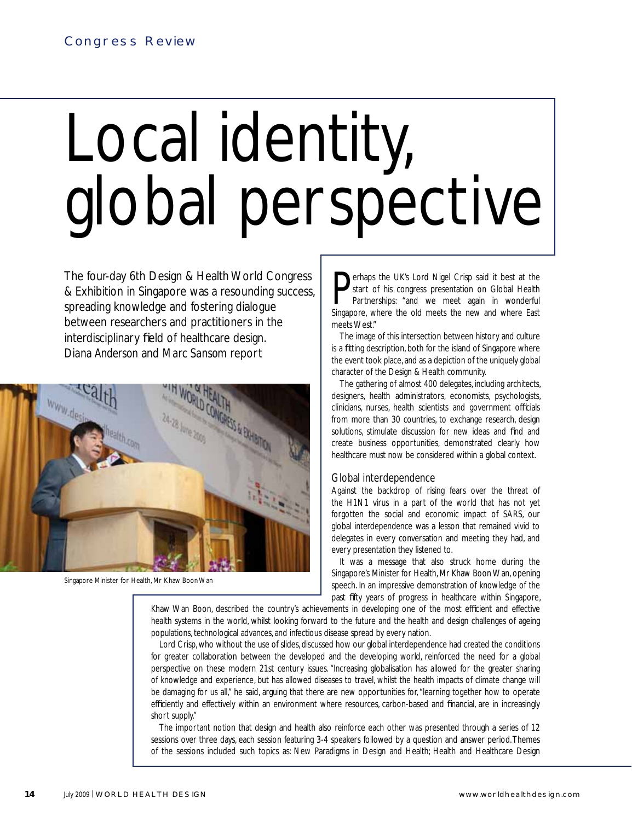# Local identity, global perspective

The four-day 6th Design & Health World Congress & Exhibition in Singapore was a resounding success, spreading knowledge and fostering dialogue between researchers and practitioners in the interdisciplinary field of healthcare design. *Diana Anderson* and *Marc Sansom* report



Singapore Minister for Health, Mr Khaw Boon Wan

**P** start of his congress presentation on Global Health Partnerships: "and we meet again in wonderful Singapore, where the old meets the new and where East erhaps the UK's Lord Nigel Crisp said it best at the start of his congress presentation on Global Health Partnerships: "and we meet again in wonderful meets West."

The image of this intersection between history and culture is a fitting description, both for the island of Singapore where the event took place, and as a depiction of the uniquely global character of the Design & Health community.

The gathering of almost 400 delegates, including architects, designers, health administrators, economists, psychologists, clinicians, nurses, health scientists and government officials from more than 30 countries, to exchange research, design solutions, stimulate discussion for new ideas and find and create business opportunities, demonstrated clearly how healthcare must now be considered within a global context.

# Global interdependence

Against the backdrop of rising fears over the threat of the H1N1 virus in a part of the world that has not yet forgotten the social and economic impact of SARS, our global interdependence was a lesson that remained vivid to delegates in every conversation and meeting they had, and every presentation they listened to.

It was a message that also struck home during the Singapore's Minister for Health, Mr Khaw Boon Wan, opening speech. In an impressive demonstration of knowledge of the past fifty years of progress in healthcare within Singapore,

Khaw Wan Boon, described the country's achievements in developing one of the most efficient and effective health systems in the world, whilst looking forward to the future and the health and design challenges of ageing populations, technological advances, and infectious disease spread by every nation.

Lord Crisp, who without the use of slides, discussed how our global interdependence had created the conditions for greater collaboration between the developed and the developing world, reinforced the need for a global perspective on these modern 21st century issues. "Increasing globalisation has allowed for the greater sharing of knowledge and experience, but has allowed diseases to travel, whilst the health impacts of climate change will be damaging for us all," he said, arguing that there are new opportunities for, "learning together how to operate efficiently and effectively within an environment where resources, carbon-based and financial, are in increasingly short supply."

The important notion that design and health also reinforce each other was presented through a series of 12 sessions over three days, each session featuring 3-4 speakers followed by a question and answer period. Themes of the sessions included such topics as: New Paradigms in Design and Health; Health and Healthcare Design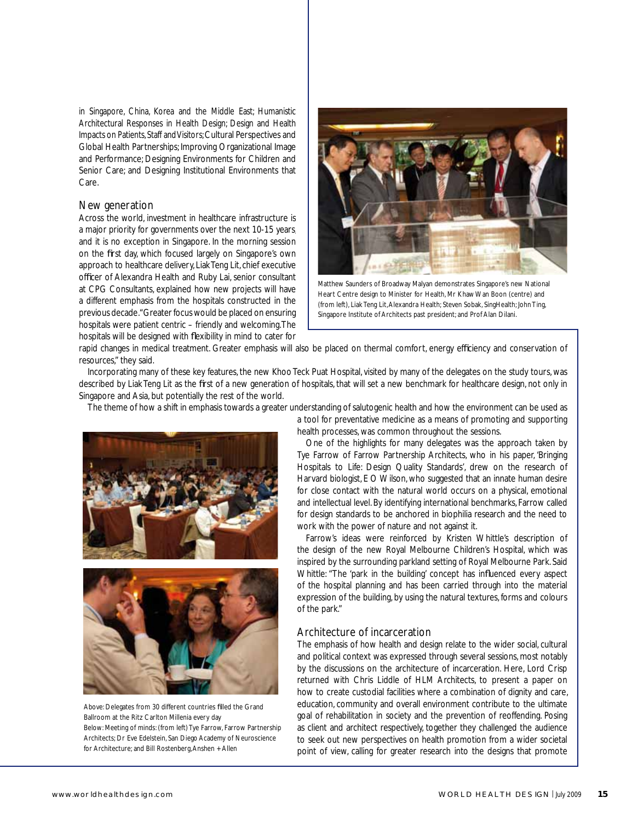in Singapore, China, Korea and the Middle East; Humanistic Architectural Responses in Health Design; Design and Health Impacts on Patients, Staff and Visitors; Cultural Perspectives and Global Health Partnerships; Improving Organizational Image and Performance; Designing Environments for Children and Senior Care; and Designing Institutional Environments that Care.

# New generation

Across the world, investment in healthcare infrastructure is a major priority for governments over the next 10-15 years. and it is no exception in Singapore. In the morning session on the first day, which focused largely on Singapore's own approach to healthcare delivery, Liak Teng Lit, chief executive officer of Alexandra Health and Ruby Lai, senior consultant at CPG Consultants, explained how new projects will have a different emphasis from the hospitals constructed in the previous decade. "Greater focus would be placed on ensuring hospitals were patient centric – friendly and welcoming. The hospitals will be designed with flexibility in mind to cater for



Matthew Saunders of Broadway Malyan demonstrates Singapore's new National Heart Centre design to Minister for Health, Mr Khaw Wan Boon (centre) and (from left), Liak Teng Lit, Alexandra Health; Steven Sobak, SingHealth; John Ting, Singapore Institute of Architects past president; and Prof Alan Dilani.

rapid changes in medical treatment. Greater emphasis will also be placed on thermal comfort, energy efficiency and conservation of resources," they said.

Incorporating many of these key features, the new Khoo Teck Puat Hospital, visited by many of the delegates on the study tours, was described by Liak Teng Lit as the first of a new generation of hospitals, that will set a new benchmark for healthcare design, not only in Singapore and Asia, but potentially the rest of the world.

The theme of how a shift in emphasis towards a greater understanding of salutogenic health and how the environment can be used as





Above: Delegates from 30 different countries filled the Grand Ballroom at the Ritz Carlton Millenia every day Below: Meeting of minds: (from left) Tye Farrow, Farrow Partnership Architects; Dr Eve Edelstein, San Diego Academy of Neuroscience for Architecture; and Bill Rostenberg, Anshen + Allen

a tool for preventative medicine as a means of promoting and supporting

health processes, was common throughout the sessions.

One of the highlights for many delegates was the approach taken by Tye Farrow of Farrow Partnership Architects, who in his paper, 'Bringing Hospitals to Life: Design Quality Standards', drew on the research of Harvard biologist, E O Wilson, who suggested that an innate human desire for close contact with the natural world occurs on a physical, emotional and intellectual level. By identifying international benchmarks, Farrow called for design standards to be anchored in biophilia research and the need to work with the power of nature and not against it.

Farrow's ideas were reinforced by Kristen Whittle's description of the design of the new Royal Melbourne Children's Hospital, which was inspired by the surrounding parkland setting of Royal Melbourne Park. Said Whittle: "The 'park in the building' concept has influenced every aspect of the hospital planning and has been carried through into the material expression of the building, by using the natural textures, forms and colours of the park."

# Architecture of incarceration

The emphasis of how health and design relate to the wider social, cultural and political context was expressed through several sessions, most notably by the discussions on the architecture of incarceration. Here, Lord Crisp returned with Chris Liddle of HLM Architects, to present a paper on how to create custodial facilities where a combination of dignity and care, education, community and overall environment contribute to the ultimate goal of rehabilitation in society and the prevention of reoffending. Posing as client and architect respectively, together they challenged the audience to seek out new perspectives on health promotion from a wider societal point of view, calling for greater research into the designs that promote